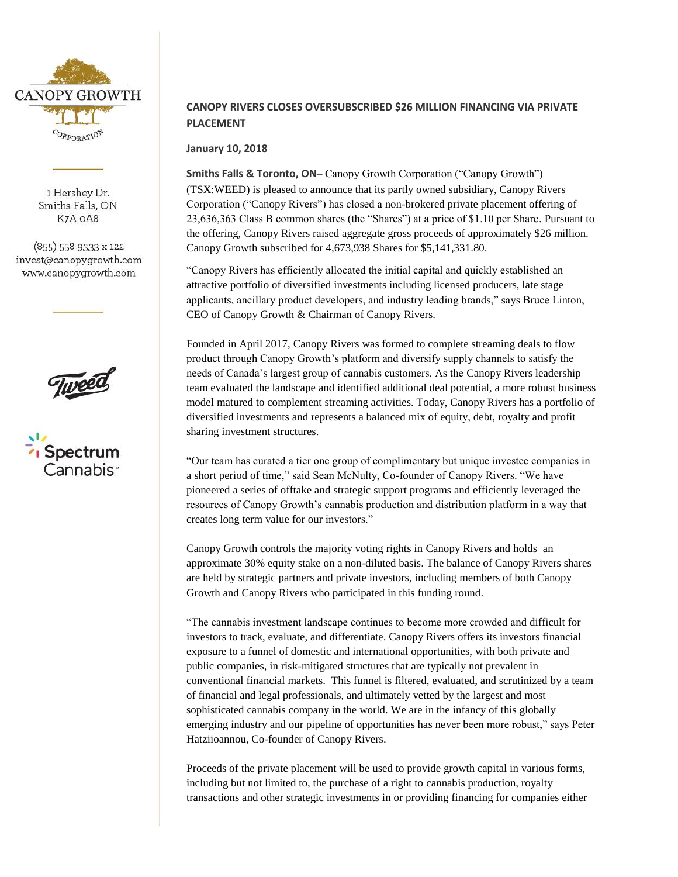

1 Hershey Dr. Smiths Falls, ON K7A OA8

(855) 558 9333 x 122 invest@canopygrowth.com www.canopygrowth.com





## **CANOPY RIVERS CLOSES OVERSUBSCRIBED \$26 MILLION FINANCING VIA PRIVATE PLACEMENT**

**January 10, 2018** 

**Smiths Falls & Toronto, ON**– Canopy Growth Corporation ("Canopy Growth") (TSX:WEED) is pleased to announce that its partly owned subsidiary, Canopy Rivers Corporation ("Canopy Rivers") has closed a non-brokered private placement offering of 23,636,363 Class B common shares (the "Shares") at a price of \$1.10 per Share. Pursuant to the offering, Canopy Rivers raised aggregate gross proceeds of approximately \$26 million. Canopy Growth subscribed for 4,673,938 Shares for \$5,141,331.80.

"Canopy Rivers has efficiently allocated the initial capital and quickly established an attractive portfolio of diversified investments including licensed producers, late stage applicants, ancillary product developers, and industry leading brands," says Bruce Linton, CEO of Canopy Growth & Chairman of Canopy Rivers.

Founded in April 2017, Canopy Rivers was formed to complete streaming deals to flow product through Canopy Growth's platform and diversify supply channels to satisfy the needs of Canada's largest group of cannabis customers. As the Canopy Rivers leadership team evaluated the landscape and identified additional deal potential, a more robust business model matured to complement streaming activities. Today, Canopy Rivers has a portfolio of diversified investments and represents a balanced mix of equity, debt, royalty and profit sharing investment structures.

"Our team has curated a tier one group of complimentary but unique investee companies in a short period of time," said Sean McNulty, Co-founder of Canopy Rivers. "We have pioneered a series of offtake and strategic support programs and efficiently leveraged the resources of Canopy Growth's cannabis production and distribution platform in a way that creates long term value for our investors."

Canopy Growth controls the majority voting rights in Canopy Rivers and holds an approximate 30% equity stake on a non-diluted basis. The balance of Canopy Rivers shares are held by strategic partners and private investors, including members of both Canopy Growth and Canopy Rivers who participated in this funding round.

"The cannabis investment landscape continues to become more crowded and difficult for investors to track, evaluate, and differentiate. Canopy Rivers offers its investors financial exposure to a funnel of domestic and international opportunities, with both private and public companies, in risk-mitigated structures that are typically not prevalent in conventional financial markets. This funnel is filtered, evaluated, and scrutinized by a team of financial and legal professionals, and ultimately vetted by the largest and most sophisticated cannabis company in the world. We are in the infancy of this globally emerging industry and our pipeline of opportunities has never been more robust," says Peter Hatziioannou, Co-founder of Canopy Rivers.

Proceeds of the private placement will be used to provide growth capital in various forms, including but not limited to, the purchase of a right to cannabis production, royalty transactions and other strategic investments in or providing financing for companies either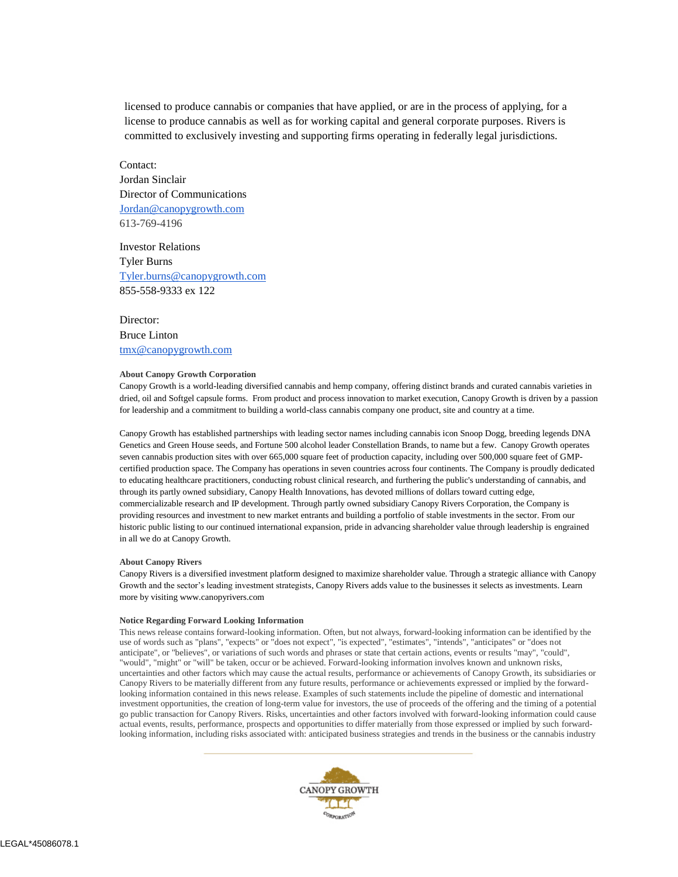licensed to produce cannabis or companies that have applied, or are in the process of applying, for a license to produce cannabis as well as for working capital and general corporate purposes. Rivers is committed to exclusively investing and supporting firms operating in federally legal jurisdictions.

Contact: Jordan Sinclair Director of Communications [Jordan@canopygrowth.com](mailto:Jordan@canopygrowth.com) 613-769-4196

Investor Relations Tyler Burns [Tyler.burns@canopygrowth.com](mailto:Tyler.burns@canopygrowth.com) 855-558-9333 ex 122

Director: Bruce Linton [tmx@canopygrowth.com](mailto:tmx@canopygrowth.com)

## **About Canopy Growth Corporation**

Canopy Growth is a world-leading diversified cannabis and hemp company, offering distinct brands and curated cannabis varieties in dried, oil and Softgel capsule forms. From product and process innovation to market execution, Canopy Growth is driven by a passion for leadership and a commitment to building a world-class cannabis company one product, site and country at a time.

Canopy Growth has established partnerships with leading sector names including cannabis icon Snoop Dogg, breeding legends DNA Genetics and Green House seeds, and Fortune 500 alcohol leader Constellation Brands, to name but a few. Canopy Growth operates seven cannabis production sites with over 665,000 square feet of production capacity, including over 500,000 square feet of GMPcertified production space. The Company has operations in seven countries across four continents. The Company is proudly dedicated to educating healthcare practitioners, conducting robust clinical research, and furthering the public's understanding of cannabis, and through its partly owned subsidiary, Canopy Health Innovations, has devoted millions of dollars toward cutting edge, commercializable research and IP development. Through partly owned subsidiary Canopy Rivers Corporation, the Company is providing resources and investment to new market entrants and building a portfolio of stable investments in the sector. From our historic public listing to our continued international expansion, pride in advancing shareholder value through leadership is engrained in all we do at Canopy Growth.

## **About Canopy Rivers**

Canopy Rivers is a diversified investment platform designed to maximize shareholder value. Through a strategic alliance with Canopy Growth and the sector's leading investment strategists, Canopy Rivers adds value to the businesses it selects as investments. Learn more by visiting www.canopyrivers.com

## **Notice Regarding Forward Looking Information**

This news release contains forward-looking information. Often, but not always, forward-looking information can be identified by the use of words such as "plans", "expects" or "does not expect", "is expected", "estimates", "intends", "anticipates" or "does not anticipate", or "believes", or variations of such words and phrases or state that certain actions, events or results "may", "could", "would", "might" or "will" be taken, occur or be achieved. Forward-looking information involves known and unknown risks, uncertainties and other factors which may cause the actual results, performance or achievements of Canopy Growth, its subsidiaries or Canopy Rivers to be materially different from any future results, performance or achievements expressed or implied by the forwardlooking information contained in this news release. Examples of such statements include the pipeline of domestic and international investment opportunities, the creation of long-term value for investors, the use of proceeds of the offering and the timing of a potential go public transaction for Canopy Rivers. Risks, uncertainties and other factors involved with forward-looking information could cause actual events, results, performance, prospects and opportunities to differ materially from those expressed or implied by such forwardlooking information, including risks associated with: anticipated business strategies and trends in the business or the cannabis industry